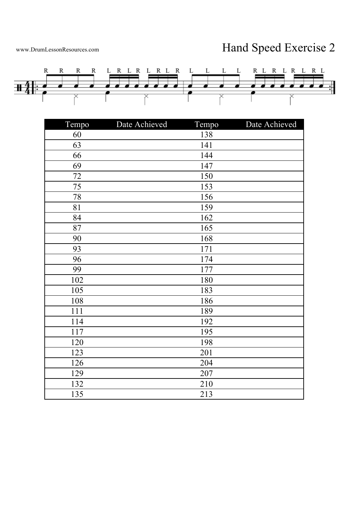## www.DrumLessonResources.com Hand Speed Exercise 2



| Tempo | Date Achieved | Tempo | Date Achieved |
|-------|---------------|-------|---------------|
| 60    |               | 138   |               |
| 63    |               | 141   |               |
| 66    |               | 144   |               |
| 69    |               | 147   |               |
| 72    |               | 150   |               |
| 75    |               | 153   |               |
| 78    |               | 156   |               |
| 81    |               | 159   |               |
| 84    |               | 162   |               |
| 87    |               | 165   |               |
| 90    |               | 168   |               |
| 93    |               | 171   |               |
| 96    |               | 174   |               |
| 99    |               | 177   |               |
| 102   |               | 180   |               |
| 105   |               | 183   |               |
| 108   |               | 186   |               |
| 111   |               | 189   |               |
| 114   |               | 192   |               |
| 117   |               | 195   |               |
| 120   |               | 198   |               |
| 123   |               | 201   |               |
| 126   |               | 204   |               |
| 129   |               | 207   |               |
| 132   |               | 210   |               |
| 135   |               | 213   |               |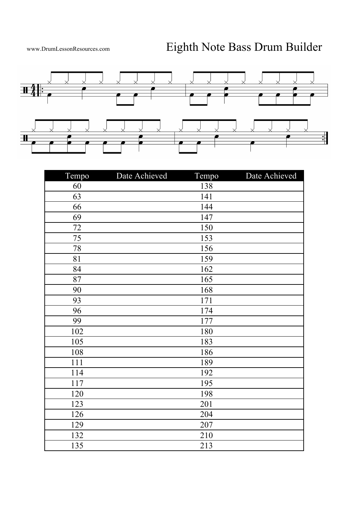

| Tempo | Date Achieved | Tempo | Date Achieved |
|-------|---------------|-------|---------------|
| 60    |               | 138   |               |
| 63    |               | 141   |               |
| 66    |               | 144   |               |
| 69    |               | 147   |               |
| 72    |               | 150   |               |
| 75    |               | 153   |               |
| 78    |               | 156   |               |
| 81    |               | 159   |               |
| 84    |               | 162   |               |
| 87    |               | 165   |               |
| 90    |               | 168   |               |
| 93    |               | 171   |               |
| 96    |               | 174   |               |
| 99    |               | 177   |               |
| 102   |               | 180   |               |
| 105   |               | 183   |               |
| 108   |               | 186   |               |
| 111   |               | 189   |               |
| 114   |               | 192   |               |
| 117   |               | 195   |               |
| 120   |               | 198   |               |
| 123   |               | 201   |               |
| 126   |               | 204   |               |
| 129   |               | 207   |               |
| 132   |               | 210   |               |
| 135   |               | 213   |               |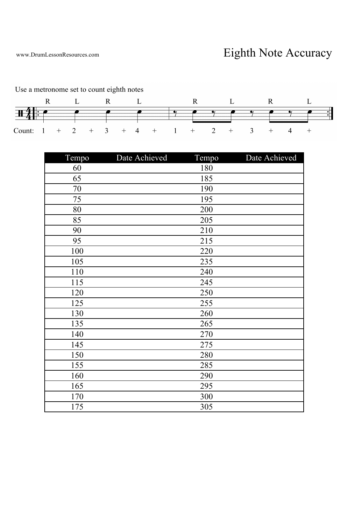www.DrumLessonResources.com <br>
Eighth Note Accuracy



Use a metronome set to count eighth notes

| Tempo | Date Achieved | Tempo | Date Achieved |
|-------|---------------|-------|---------------|
| 60    |               | 180   |               |
| 65    |               | 185   |               |
| 70    |               | 190   |               |
| 75    |               | 195   |               |
| 80    |               | 200   |               |
| 85    |               | 205   |               |
| 90    |               | 210   |               |
| 95    |               | 215   |               |
| 100   |               | 220   |               |
| 105   |               | 235   |               |
| 110   |               | 240   |               |
| 115   |               | 245   |               |
| 120   |               | 250   |               |
| 125   |               | 255   |               |
| 130   |               | 260   |               |
| 135   |               | 265   |               |
| 140   |               | 270   |               |
| 145   |               | 275   |               |
| 150   |               | 280   |               |
| 155   |               | 285   |               |
| 160   |               | 290   |               |
| 165   |               | 295   |               |
| 170   |               | 300   |               |
| 175   |               | 305   |               |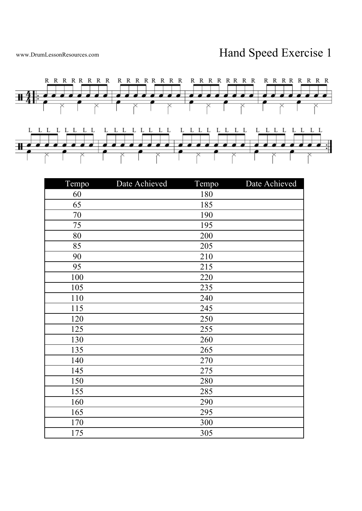

| Tempo | Date Achieved | Tempo | Date Achieved |
|-------|---------------|-------|---------------|
| 60    |               | 180   |               |
| 65    |               | 185   |               |
| 70    |               | 190   |               |
| 75    |               | 195   |               |
| 80    |               | 200   |               |
| 85    |               | 205   |               |
| 90    |               | 210   |               |
| 95    |               | 215   |               |
| 100   |               | 220   |               |
| 105   |               | 235   |               |
| 110   |               | 240   |               |
| 115   |               | 245   |               |
| 120   |               | 250   |               |
| 125   |               | 255   |               |
| 130   |               | 260   |               |
| 135   |               | 265   |               |
| 140   |               | 270   |               |
| 145   |               | 275   |               |
| 150   |               | 280   |               |
| 155   |               | 285   |               |
| 160   |               | 290   |               |
| 165   |               | 295   |               |
| 170   |               | 300   |               |
| 175   |               | 305   |               |